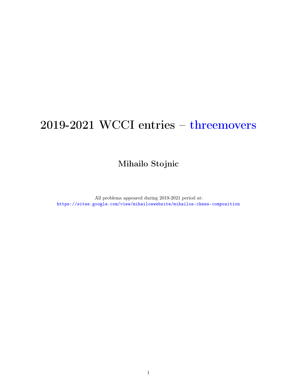## 2019-2021 WCCI entries – threemovers

Mihailo Stojnic

All problems appeared during 2019-2021 period at: <https://sites.google.com/view/mihailoswebsite/mihailos-chess-composition>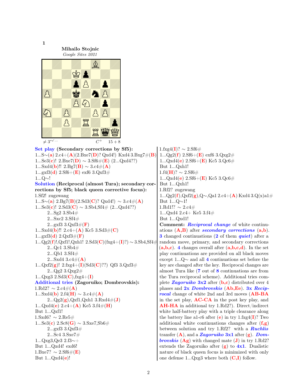1 Mihailo Stojnic Google Sites 2021 0Z0Z0A0Z Z0ZKo0Z0 0Z0oPZpZ O0ZkZnO0 EDD A ZO ZARANA  $\neq 3^{*\checkmark}$ ...  $C^+$  $15 + 8$ Set play (Secondary corrections by Sf5): 1...S∼(a) 2.c4+(A)(2.Bxe7(D)? Qxd4!) Kxd4 3.Bxg7#(B) 1...Se3(c)! 2.Bxe7(D)  $\sim 3.$ Sf6#(E) (2...Qxd4??) 1...Sxd4(**b**)!! 2.Bg7(**B**)  $\sim$  3.c4#(**A**)  $1...gxf3(d)$   $2. Sf6+(E)$  exf6  $3. Qxf3#$ 1...Q∼! Solution (Reciprocal (almost Tura); secondary corrections by Sf5; black queen corrective focus): 1.Sf2! zugzwang 1...S∼(a) 2.Bg7(B)(2.Sd3(C)? Qxd4!) ∼ 3.c4#(A) 1...Se3(c)!  $2.Sd3(C) \sim 3.Sb4,Sf4\# (2...Qxd4??)$ 2...Sg2 3.Sb4# 2...Sxc2 3.Sf4#  $2 \dots g x f3$  3. $Q x f3 \#(\mathbf{F})$ 1...Sxd4(**b**)!! 2.c4+(**A**) Kc5 3.Sd3#(**C**)  $1 \ldots gxf3(d) 2.Qxf3\#(F)$ 1...Qg2(f)!,Qxf1!,Qxh1! 2.Sd3(C)(fxg4+(I)?) ∼ 3.Sb4,Sf4≠ 2...Qc1 3.Sb4# 2...Qb1 3.Sf4#  $2...Sxd4$   $3.c4\#(A)$ 1... $Qxf2(g)$ ! 2.fxg4+(I)(Sd3(C)??) Qf3 3. $Qxf3\#$ 2...Qg2 3.Qxg2# 1... $Qxg3$  2.Sd3( $C$ ), fxg4+(I) Additional tries (Zagoruiko; Dombrovskis):  $1.\text{Rd}2? \sim 2.\text{c}4\#(\mathbf{A})$ 1...Sxd4(**b**) 2.f4(**H**)  $\sim$  3.c4#(**A**)  $2 \dots Qg2(g)$ , $Qxf1$ , $Qxh1$   $3.Rxd4\#(J)$ 1...Qxd4(e) 2.c4+(A) Ke5 3.f4#(H) But 1...Qxf1! 1.Sxd6?  $\sim 2.$ Re5# 1...Se3(c) 2.Sc8(G)  $\sim$  3.Sxe7,Sb6# 2...gxf3 3.Qxf3# 2...Sc4 3.Sxe7# 1...Qxg3,Qe3 2.f3∼+ But 1...Qxd4! exd6!  $1.Bxe7? \sim 2.Sf6\#(\mathbf{E})$ But  $1...Qxd4(e)!$ 1.fxg4(I)?  $\sim 2.$ Sf6#  $1...Qg2(f)$  2.Sf6+(**E**) exf6 3.Qxg2#  $1...Qxd4(e)$   $2.Sf6+(E)$  Kc5  $3.Qc6#$ But 1...Qxh1!  $1.14(H)$ ? ∼ 2.Sf6#  $1...Qxd4(e)$   $2. Sf6+(E)$  Kc5  $3.Qc6#$ But 1...Qxh1! 1.Rf2? zugzwang 1...Qg2(f),Qxf2(g),Q∼,Qa1 2.c4+(A) Kxd4 3.Q(x)a1# But 1...Q∼1! 1.Rd1!?  $\sim 2$ .c4# 1...Qxd4 2.c4+ Ke5 3.f4# But 1...Qxd1! Comment: Reciprocal change of white continuations  $(A,B)$  after *secondary corrections*  $(a,b)$ . **3** changed continuations (2 of them *quiet*) after a random move, primary, and secondary corrections  $(a,b,c)$ . 4 changes overall after  $(a,b,c,d)$ . In the set play continuations are provided on all black moves except 1...Q∼ and all 4 continuations set before the key are changed after the key. Reciprocal changes are almost Tura like (7 out of 8 continuations are from the Tura reciprocal scheme). Additional tries complete Zagoruiko  $3x2$  after (b,c) distributed over 4 phases and  $2x$  *Dombrovskis* (Ab, Ee). 3x Reciprocal change of white 2nd and 3rd moves (AB-BA in the set play,  $AC-CA$  in the post key play, and AH-HA in additional try 1.Rd2?). Direct/indirect white half-battery play with a triple clearance along the battery line a1-c6 after (e) in try 1.fxg4(I)? Two additional white continuations changes after  $(f,g)$ between solution and try 1.Rf2? with a **Ruchlis** transfer  $(A)$ , and a Zagoruiko 3x1 after  $(g)$ . Dom**brovskis (Ag)** with changed mate  $(\mathbf{J})$  in try 1.Rd2? extends the Zagoruiko after  $(g)$  to  $4x1$ . Dualistic nature of black queen focus is minimized with only one defense  $1...Qxg3$  where both  $(C,I)$  follow.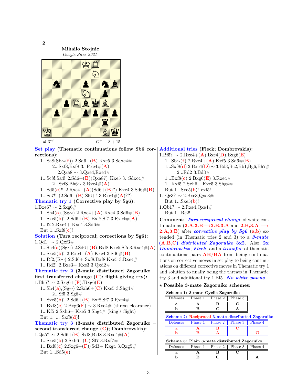

Set play (Thematic continuations follow Sb6 cor-Additional tries (Fleck; Dombrovskis): rections):  $1.Bf5? \sim 2.Rxe4+(\mathbf{A})$ , Bxe4(**D**), Bxg6(**E**)

 $1...Sa8(Sb∼(f))$  2.Sd6+(**B**) Kxe5 3.Sdxc4# 2...Sxf8,Bxf8 3. Rxe4# $(A)$  $2.Qxa8 \sim 3.Qxe4,Rxe4\#$ 1...Sc8!,Sa4!  $2.Sd6+(B)(Qxa8?)$  Kxe5 3. Sdxc4# 2...Sxf8,Bh6∼ 3.Rxe4#( $\bf{A}$ ) 1...Sd5(e)!!  $2. Rxe4+(\mathbf{A})(Sd6+(\mathbf{B})?)$  Kxe4  $3. Sd6\#(\mathbf{B})$ 1...Se7!!  $(2.5d6+(B) Sf6+! 3.Rxe4\#(A)??)$ Thematic try 1 (Corrective play by Sg6):  $1. \text{Bxe6?} \sim 2. \text{Sxg6}$ # 1...Sh4(a),(Sg∼) 2.Rxe4+(A) Kxe4 3.Sd6#(B) 1...Sxe5(**b**)! 2.Sd6+(**B**) Bxf8,Sf7 3.Rxe4#(**A**) 1...f2 2.Rxe4+ Kxe4 3.Sd6# But  $1...Sxf8(c)!$ Solution (Tura reciprocal; corrections by Sg6): 1.Qd1!  $\sim 2.$ Qxf3# 1...Sh4(a)(Sg∼) 2.Sd6+(B) Bxf8,Kxe5,Sf5 3.Rxe4#(A) 1...Sxe5(**b**)!  $2. Rxe4 + (A) Kxe4 3. Sd6# (B)$ 1...Rf2,(R∼) 2.Sd6+ Sxf8,Bxf8,Kxe5 3.Rxe4# 1...Rd2! 2.Bxe3+ Kxe3 3.Qxd2# Thematic try 2 (3-mate distributed Zagoruiko – first transferred change  $(C)$ ; flight giving try):  $1.Bh5? \sim 2.Sxg6+(\mathbf{F})/Bxg6(\mathbf{E})$ 1...Sh4(a),(Sg∼) 2.Sxh6+(C) Kxe5 3.Shg4#  $2...Sf5\;3.Sg6\#$ 1...Sxe5(**b**)!  $2.5d6 + (B) Bxf8, Sf7 3.Rxe4#$ 1...Bxf8(c) 2.Bxg6(**E**)  $\sim$  3.Rxe4# (threat clearance) 1...Kf5 2.Sxh6+ Kxe5 3.Shg4# (king's flight) But  $1. \ldots$  Sxf8(d)! Thematic try 3 (3-mate distributed Zagoruiko – second transferred change  $(C)$ ; Dombrovskis):  $1.Qa5? \sim 2.Sd6 + (B) Sxf8,Bxf83.Rxe4#(A)$ 1...Sxe5(**b**)  $2.Sxh6+(C)$  Sf7  $3.Rxf7#$ 1...Bxf8(c)  $2.Sxg6+(F)/Sd3+Kxg4\ 3.Qxg5#$ But  $1...Sd5(e)!$ 

1...Sb∼(f) 2.Rxe4+(A) Kxf5 3.Sd6#(B)  $1...Sxf8(d)$  2.Bxe4(**D**) ∼ 3.Bd3,Bc2,Bb1,Bg6,Bh7# 2...Rd2 3.Bd3#  $1...Bxf8(c)$  2.Bxg6(**E**) 3.Rxe4# 1...Kxf5 2.Sxh6+ Kxe5 3.Shg4# But 1...Sxe5(b)! exf5! 1. Qc3? ∼ 2.Bxe3,Qxe3# But  $1...Sxe5(b)!$  $1.Qb1? \sim 2.Rxe4,Qxe4\#$ 

But 1...Rc2! **Comment:** Tura reciprocal change of white continuations  $(2.A,3.B\rightarrow 2.B,3.A$  and  $2.B,3.A \rightarrow$ **2.A,3.B**) after *corrective play by Sg6* (a,b) extended (in Thematic tries 2 and 3) to a  $3$ -mate  $(A,B,C)$  distributed Zagoruiko 3x2. Also, 2x Dombrovskis, Fleck, and a transfer of thematic continuations pairs  $AB/BA$  from being continuations on corrective moves in set play to being continuations on different corrective moves in Thematic try 1 and solution to finally being the threats in Thematic try 3 and additional try 1.Bf5. No white pawns.

## ? Possible 3-mate Zagoruiko schemes:

| Scheme 1: 3-mate Cyclic Zagoruiko |  |
|-----------------------------------|--|
|-----------------------------------|--|

| Defenses | Phase 1 | Phase 2 | Phase 3 |
|----------|---------|---------|---------|
|          |         |         |         |
|          |         |         |         |

Scheme 2: Reciprocal 3-mate distributed Zagoruiko

| Defenses | Phase 1 | Phase $2 \perp$ | Phase 3 | Phase 4 |
|----------|---------|-----------------|---------|---------|
|          |         |                 |         |         |
|          |         |                 |         |         |

Scheme 3: Plain 3-mate distributed Zagoruiko

| Defenses | Phase 1 | Phase 2 | Phase 3 | Phase 4 |
|----------|---------|---------|---------|---------|
|          |         |         |         |         |
|          |         |         |         |         |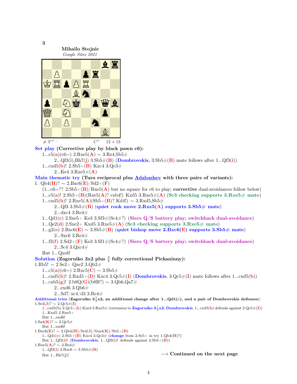3 Mihailo Stojnic Google Sites 2021 <u>do Zaporzo Zorze</u><br>2Zbs Zorzel Zorzel Zorzel Zorzel Zorzel Zorzel Zorzel Zorzel Zorzel Zorzel Zorzel Zorzel Zorzel<br>2Zbs Zorzel Zorzel Zorzel Zorzel Zorzel Zorzel Zorzel Zorzel Zorzel Zorzel Zorzel Zorzel Zorzel Zorzel Zorz pada 2000 Pagasara William William Party  $\neq 3^{*\checkmark}$ ...  $C^+$  $12 + 13$ Set play (Corrective play by black pawn c6): 1...c5(**a**)(c6∼) 2.Rxe5(**A**) ∼ 3.Re4,Sb5# 2... $Qf3(i), Bh7(j)$  3.Sb5 $\#(B)$  (Dombrovskis, 3.Sb5 $\#(B)$  mate follows after 1... $Qf3(i)$ ) 1...cxd5(**b**)!  $2.5b5+(B)$  Kxc4  $3.0c3#$ 2...Ke4 3.Rxe5# $(A)$ Main thematic try (Tura reciprocal plus Adabashev with three pairs of variants): 1. Qb4( $\mathbf{H}$ )? ∼ 2.Bxc6( $\mathbf{E}$ )/Sd2+( $\mathbf{F}$ )  $(1...c6~\gamma$ ? 2.Sb5+ $(\mathbf{B})/Rxe5(\mathbf{A})$  but no square for c6 to play; corrective dual-avoidances follow below) 1...c5(a)!  $2.Sb5+(B)(Rxe5(A)$ ? cxb4!) Kxd5  $3.Rxe5\#(A)$  (Sc3 checking supports  $3.Rxe5\#$  mate) 1...cxd5(b)! 2.Rxe5(A)(Sb5+(B)? Kd4!) ∼ 3.Rxd5,Sb5# 2...Qf3 3.Sb5 $\#$ (B) (quiet rook move 2.Rxe5(A) supports 3.Sb5 $\#$  mate) 2...dxc4 3.Re4# 1...Qd1(c) 2.Sxe5+ Ke3 3.Sf3#(Sc4#?) (Siers Q/S battery play; switchback dual-avoidance) 1... $Qe2(d)$  2.Sxe2+ Kxd5 3.Rxe5# $(A)$  (Sc3 checking supports 3.Rxe5# mate) 1...g2(e)  $2.\text{Bxc6}(\mathbf{E}) \sim 3.\text{Sb5} \#(\mathbf{B})$  (quiet bishop move  $2.\text{Bxc6}(\mathbf{E})$  supports  $3.\text{Sb5} \#$  mate) 2...Sxc6 3.Re4# 1...f3(f) 2.Sd2+(F) Ke3 3.Sf1#(Sc4#?) (Siers  $Q/S$  battery play; switchback dual-avoidance) 2...Sc4 3.Qxc4# But 1...Qxe6! Solution (Zagoruiko 3x2 plus  $\frac{3}{4}$  fully correctional Pickaninny): 1.Rb5!  $\sim$  2.Se2+ Qxe2 3.Qb2#  $1...c5(a)(c6\sim)$  2.Rxc5(C) ~ 3.Sb5# 1...cxd5(b)!  $2.Rxd5+ (D) Kxc4 3.Qc5# (I) (Dombrovskis, 3.Qc5# (I) mate follows after 1...cxd5(b))$ 1...cxb5(**g**)! 2.b8Q(**G**)(b8B?) ∼ 3.Qb6,Qa7# 2...exd6 3.Qb6#  $2...$ Sd7/xc4/d3 3.Re4# Additional tries (Zagoruiko  $3\frac{1}{2}x2$ , an additional change after 1...Qd1(c), and a pair of Dombrovskis defenses):  $1.\text{Se4}(\mathbf{J})$ ? ∼ 2. $\text{Qc5#(I)}$ 1...cxd5(**b**) 2.Qc3+(**L**) Kxe4 3.Rxe5# (extension to **Zagoruiko 3** $\frac{1}{2}$ **x2; Dombrovskis**, 1...cxd5(**b**) defends against 2.Qc5#(**I**)) 1...Kxd5 2.Rxe5+ But 1...exd6!  $1.\text{Sa4}(\mathbf{K})$ ? ∼ 2.Qc5# But 1...exd6!  $1.Bxc6(E)? \sim 2.Qb4(H)/Seq(J)/Sxa4(K)/Sb5+(B)$ 1... $Qd1(c)$  2.Sb5+(B) Kxc4 3. $Qc3#$  (change from 2.Se5+ in try 1. $Qb4(H)$ ?) But  $1...Qf3(i)!$  (Dombrovskis,  $1...Qf3(i)!$  defends against  $2.Sb5+(B)$ )  $1. Rxe5(A)? \sim 2. Re4#$ 1...Qf3(i) 2.Rxc6  $\sim$  3.Sb5#(**B**) But 1...Bh7(j)!  $\longrightarrow$  Continued on the next page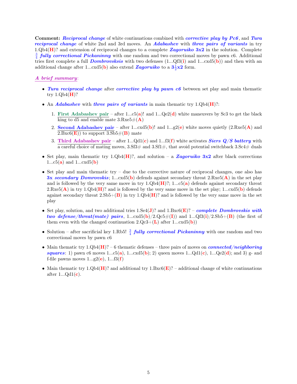Comment: *Reciprocal change* of white continuations combined with *corrective play by Pc6*, and Tura reciprocal change of white 2nd and 3rd moves. An Adabashev with three pairs of variants in try 1. $Qb4(\mathbf{H})$ ? and extension of reciprocal changes to a complete Zagoruiko 3x2 in the solution. Complete  $\frac{3}{4}$  fully correctional Pickaninny with one random and two correctional moves by pawn c6. Additional tries first complete a full **Dombrovsksis** with two defenses  $(1...Qf3(i))$  and  $1...cxd5(b))$  and then with an additional change after 1...cxd5(**b**) also extend **Zagoruiko** to a  $3\frac{1}{2} \times 2$  form.

## A brief summary:

- Tura reciprocal change after corrective play by pawn c6 between set play and main thematic try  $1.0\text{b}4(\text{H})$ ?
- An Adabashev with three pairs of variants in main thematic try  $1.Qb4(H)$ ?:
	- 1. First Adabashev pair after 1...c5(a)! and 1... $Qe2(d)$  white maneuvers by Sc3 to get the black king to d5 and enable mate  $3.Rxe5\#(A)$
	- 2. Second Adabashev pair after 1...cxd5(b)! and 1...g2(e) white moves quietly  $(2 \cdot R \times 5(A))$  and  $2.Bxc6(E)$  to support  $3.Sb5\#(B)$  mate
	- 3. Third Adabashev pair after 1... $Qd1(c)$  and 1... $f3(f)$  white activates *Siers Q/S battery* with a careful choice of mating moves,  $3.5f3\#$  and  $3.5f1\#$ , that avoid potential switchback  $3.5f3\#$  duals
- Set play, main thematic try 1.Qb4( $\mathbf{H}$ )?, and solution a Zagoruiko 3x2 after black corrections 1... $c5(a)$  and 1... $cxd5(b)$
- Set play and main thematic try due to the corrective nature of reciprocal changes, one also has **3x secondary Domrovskis**; 1...cxd5(b) defends against secondary threat  $2 \cdot Rxe5(A)$  in the set play and is followed by the very same move in try  $1 \text{.Qb4}(\mathbf{H})$ ?; 1...c5(a) defends against secondary threat  $2.\text{Rxe5}(\mathbf{A})$  in try  $1.\text{Qb4}(\mathbf{H})$ ? and is followed by the very same move in the set play;  $1...\text{cxd5}(\mathbf{b})$  defends against secondary threat  $2.5b5+(B)$  in try  $1.Qb4(H)$ ? and is followed by the very same move in the set play
- Set play, solution, and two additional tries  $1.Se4(J)$ ? and  $1.Bxc6(E)$ ? complete Dombrovskis with two defense/threat(mate) pairs, 1...cxd5(b)/2.Qc5 $\#(I)$ ) and 1...Qf3(i)/2.Sb5+(B) (the first of them even with the changed continuation  $2.Qc3+(L)$  after  $1...cxd5(b)$
- Solution after sacrificial key 1.Rb5!  $\frac{3}{4}$  fully correctional Pickaninny with one random and two correctional moves by pawn c6
- Main thematic try  $1.Qb4(H)$ ? 6 thematic defenses three pairs of moves on *connected/neighboring* squares: 1) pawn c6 moves 1...c5(a), 1...cxd5(b); 2) queen moves 1... $Qd1(c)$ , 1... $Qe2(d)$ ; and 3) g- and f-file pawns moves  $1...g2(e)$ ,  $1...f3(f)$
- Main thematic try 1. $Qb4(\mathbf{H})$ ? and additional try 1.Bxc6( $\mathbf{E}$ )? additional change of white continuations after  $1...Qd1(c)$ .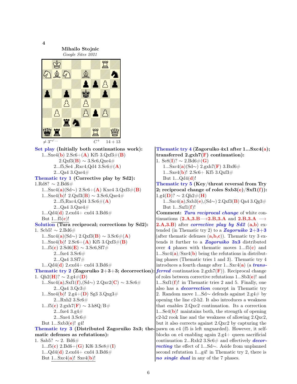Mihailo Stojnic Google Sites 2021 ED ADDED A 0ZPZPZ0Z ZPZ0OpO0 0Zrm0Z0Z era de la provincia de la provincia de la provincia de la provincia de la provincia de la provincia de la prov  $\neq 3^{*\sqrt{\ldots}}$  C<sup>+</sup>  $14 + 13$ Set play (Initially both continuations work): 1...Sxe4(**b**) 2.Sc6+(**A**) Kf5 3.Qxf3#(**B**)  $2.\text{Qxf3}(\mathbf{B}) \sim 3.\text{Sc6}$ , $\text{Qxe4} \#$ 2...f5,Se4 ,Rxc4,Qd4 3.Sc6# $(A)$ 2...Qa4 3.Qxe4# Thematic try 1 (Corrective play by Sd2): 1.Rd8?  $\sim$  2.Bd6# 1...Sxc4(a)(Sd∼) 2.Sc6+(A) Kxe4 3.Qxf3#(B) 1...Sxe4(b)! 2.Qxf3(B)  $\sim$  3.Sc6,Qxe4# 2...f5,Rxc4,Qd4  $3.$ Sc6# $(A)$ 2...Qa4 3.Qxe4#  $1...Qd4(d)$   $2.exd4+ exd4$   $3.Bd6#$ But  $1...f5(c)!$ Solution (Tura reciprocal; corrections by Sd2): 1. Scb5!  $\sim$  2.Bd6# 1...Sxc4(a)(Sd∼) 2.Qxf3(B) ~ 3.Sc6#(A) 1...Sxe4(**b**)!  $2.$ Sc6+(**A**) Kf5  $3.$ Qxf3#(**B**) 1...f5(c) 2.Sd6(**E**)  $\sim$  3.Sc6,Sf7# 2...fxe4 3.Sc6#  $2...$ Qa4  $3.$ Sf7 $#$  $1...Qd4(d)$   $2.exd4 + cxd4$   $3.Bd6#$ Thematic try 2 (Zagoruiko  $2+3+3$ ; decorrection) 1. Qh2( $\mathbf{H}$ )? ∼ 2.g4#( $\mathbf{D}$ ) 1...Sxc4(a),Sxf1(f),(Sd∼) 2.Qxc2(C) ~ 3.Sc6# 2...Qa4 3.Qc3# 1...Sxe4(**b**)!  $2.g4+(\mathbf{D})$  Sg3  $3.Qxg3#$  $2...Rxh2$   $3. \mathrm{Sc6} \#$ 1...f5(c) 2.gxh7(F)  $\sim$  3.h8Q/B# 2...fxe4 3.g4# 2...Sxe4 3.Sc6# But  $1...Sxb3(e)!$  g4! **Thematic try 3 (Distributed Zagoruiko 3x3; the-** pawn on e4 (f5 is left unguarded). However, it selfmatic defenses as refutations): 1. Sab5?  $∼ 2$ . Bd6# 1...f5(c) 2.Bd6+(G) Kf6 3.Se8#(I)  $1...Qd4(d)$   $2.exd4 + cxd4$   $3.Bd6#$ 

But  $1...Sxc4(a)!$  Sxe $4(b)!$ 

4

Thematic try 4 (Zagoruiko 4x1 after 1...Sxc4(a); transferred  $2.\text{gxh7}(F)$  continuation): 1. Se8(I)?  $\sim 2. Bd6#(G)$ 1...Sxc4(a)(Sd∼) 2.gxh7(F) 3.Bxf6# 1...Sxe4(**b**)! 2.Sc6+ Kf5 3.Qxf3# But  $1...Qd4(d)!$ Thematic try 5 (Key/threat reversal from Try 2; reciprocal change of roles  $Sxb3(e)/Sxf1(f)$ :  $1.\text{g4}(\mathbf{D})$ ? ∼  $2.\text{Qh2#(H)}$ 1...Sxc4(a),Sxb3(e),(Sd∼) 2.Qxf3(B) Qa4 3.Qg3# But  $1...Sxf1(f)!$ Comment: Tura reciprocal change of white continuations  $(2.A,3.B\rightarrow 2.B,3.A$  and  $2.B,3.A \rightarrow$ **2.A,3.B**) after *corrective* play by  $Sd2$  (a,b) extended (in Thematic try 2) to a **Zagoruiko 2+3+3** (after thematic defenses  $(a,b,c)$ ). Thematic try 3 extends it further to a **Zagoruiko 3x3** distributed over 4 phases with thematic moves  $1...5(c)$  and  $1...Sxc4(a)/Sxe4(b)$  being the refutations in distributing phases (Thematic tries 1 and 3). Thematic try 4 introduces a fourth change after  $1...Sxc4(a)$  (a *trans*-:  $ferred$  continuation  $2.gxh7(F)$ . Reciprocal change of roles between corrective refutations  $1...Sb3(e)!$  and 1... $Sxf1(f)!$  in Thematic tries 2 and 5. Finally, one also has a **decorrection** concept in Thematic try 2. Random move 1...Sd∼ defends against 2.g4# by opening the line c2-h2. It also introduces a weakness that enables 2.Qxc2 continuation. Its a correction 1...Se4 $(b)$ ! maintains both, the strength of opening c2-h2 rook line and the weakness of allowing 2.Qxc2, but it also corrects against 2.Qxc2 by capturing the blocks on e4 enabling again 2.g4+ queen sacrificial continuation 2...Rxh2 3.Sc6# and effectively **decor**recting the effect of 1...Sd∼. Aside from unplanned second refutation 1...g4! in Thematic try 2, there is no single dual in any of the 7 phases.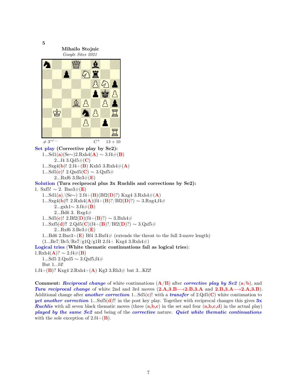5 Mihailo Stojnic Google Sites 2021 nZ0L0a0Z Z0o0MrZ0 0Z0Z0ONo Z0Z0ZpjP OZOAPZA CZ Z0Z0Z0ZR  $\neq 3^{*\checkmark \dots}$  C<sup>+</sup>  $13 + 10$ Set play (Corrective play by Se2): 1...Sd1(a)(Se∼)2.Rxh4(**A**) ∼ 3.f4#(**B**) 2...f4  $3.Qd5\#(C)$ 1...Sxg4(**b**)! 2.f4+(**B**) Kxh5 3.Rxh4#(**A**) 1...Sd5(c)! 2.Qxd5(C)  $\sim$  3.Qxf5# 2...Rxf6  $3.Be3\#(E)$ Solution (Tura reciprocal plus 3x Ruchlis and corrections by Se2): 1. Sxf5!  $\sim$  2. Bxe3#(E) 1...Sd1(a)/(Se∼) 2.f4+(B)(Bf2(D)?) Kxg4 3.Rxh4#(A) 1...Sxg4(b)!! 2.Rxh4(A)(f4+(B)?/Bf2(D)?) ∼ 3.Rxg4,f4# 2...gxh1∼ 3.f4#(**B**) 2...Bd6 3. Rxg4# 1...Sd5(c)! 2.Bf2(D)(f4+(B)?) ∼ 3.Bxh4# 1...Sxf5(**d**)!! 2.Qd5(**C**)(f4+(**B**)?/Bf2(**D**)?) ∼ 3.Qxf5# 2...Rxf6 3.Be3# $(E)$ 1...Bd6 2.Bxe3+(E) Bf4 3.Bxf4# (extends the threat to the full 3-move length)  $(1...Be7/Be5/Re7/g1Q/g1B 2.f4+Kxg4 3.Rxh4#)$ Logical tries (White thematic continuations fail as logical tries):  $1. Rxh4(\mathbf{A})$ ? ∼ 2.f4#(**B**) 1...Sd5 2.Qxd5 ∼ 3.Qxf5,f4# But 1...f4! 1.f4+(**B**)? Kxg4 2.Rxh4+(**A**) Kg3 3.Rh3# but 3...Kf2!

**Comment:** Reciprocal change of white continuations  $(A/B)$  after corrective play by Se2  $(a/b)$ , and Tura reciprocal change of white 2nd and 3rd moves  $(2.A,3.B\rightarrow 2.B,3.A \text{ and } 2.B,3.A\rightarrow 2.A,3.B)$ . Additional change after **another correction** 1...Sd5(c)! with a transfer of 2.Qd5(C) white continuation to yet another correction 1...Sxf5(d)!! in the post key play. Together with reciprocal changes this gives  $3x$ **Ruchlis** with all seven black thematic moves (three  $(a,b,c)$ ) in the set and four  $(a,b,c,d)$  in the actual play) played by the same Se2 and being of the corrective nature. Quiet white thematic continuations with the sole exception of  $2.f4+(\mathbf{B})$ .